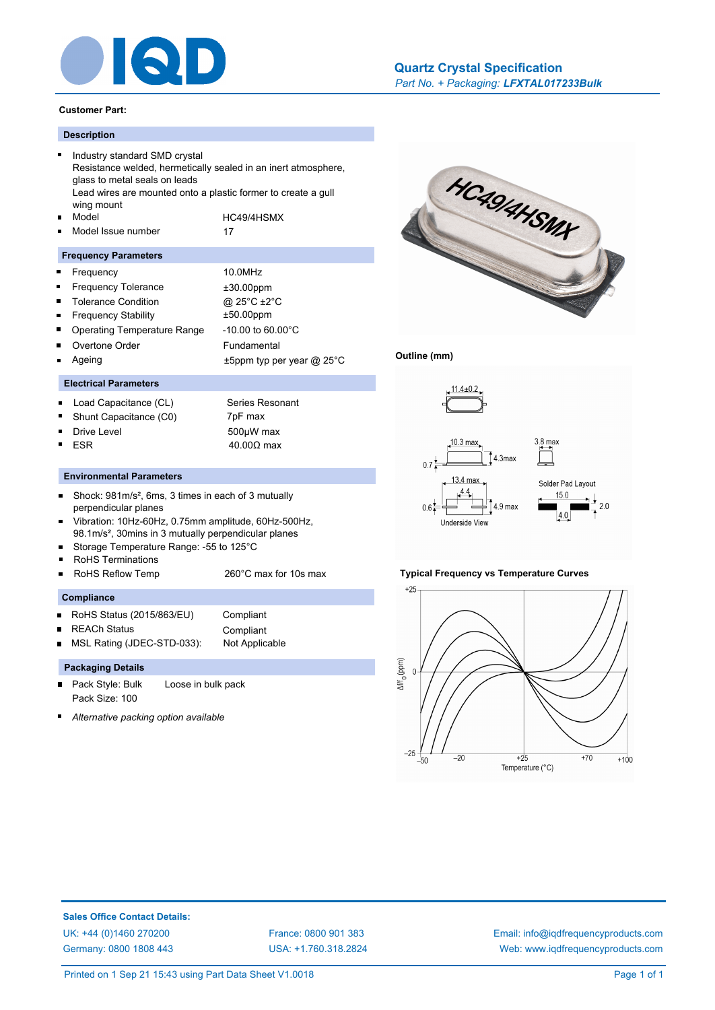

#### **Customer Part:**

# **Description**

- $\blacksquare$ Industry standard SMD crystal Resistance welded, hermetically sealed in an inert atmosphere, glass to metal seals on leads Lead wires are mounted onto a plastic former to create a gull wing mount Model HC49/4HSMX  $\blacksquare$ Model Issue number 17 Н
- 

# **Frequency Parameters**

- $\blacksquare$ Frequency 10.0MHz
- Frequency Tolerance  $\pm 30.00$ ppm
- Ē. Tolerance Condition @ 25°C ±2°C
- $\blacksquare$ Frequency Stability ±50.00ppm
- É Operating Temperature Range -10.00 to 60.00°C
	- Overtone Order Fundamental
	- Ageing  $\pm 5$ ppm typ per year @ 25°C



- Load Capacitance (CL) Series Resonant  $\blacksquare$
- Shunt Capacitance (C0) 7pF max
- 
- 

ř.

- Drive Level 500µW max
- ESR  $40.00Ω$  max

# **Environmental Parameters**

- Shock: 981m/s², 6ms, 3 times in each of 3 mutually  $\blacksquare$ perpendicular planes
- Vibration: 10Hz-60Hz, 0.75mm amplitude, 60Hz-500Hz, 98.1m/s², 30mins in 3 mutually perpendicular planes
- Storage Temperature Range: -55 to 125°C
- RoHS Terminations
- $\blacksquare$ RoHS Reflow Temp 260°C max for 10s max

# **Compliance**

- RoHS Status (2015/863/EU) Compliant  $\blacksquare$
- REACh Status **Compliant**
- MSL Rating (JDEC-STD-033): Not Applicable  $\blacksquare$

# **Packaging Details**

- $\blacksquare$ Pack Style: Bulk Loose in bulk pack Pack Size: 100
- *Alternative packing option available*



### **Outline (mm)**



#### **Typical Frequency vs Temperature Curves**



**Sales Office Contact Details:** [UK: +44 \(0\)1460 270200](http://www.iqdfrequencyproducts.co.uk) [France: 0800 901 383](http://www.iqdfrequencyproducts.fr) [Germany: 0800 1808 443](http://www.iqdfrequencyproducts.de)

[USA: +1.760.318.2824](http://www.iqdfrequencyproducts.com)

[Email: info@iqdfrequencyproducts.com](mailto:info@iqdfrequencyproducts.com) [Web: www.iqdfrequencyproducts.com](http://www.iqdfrequencyproducts.com)